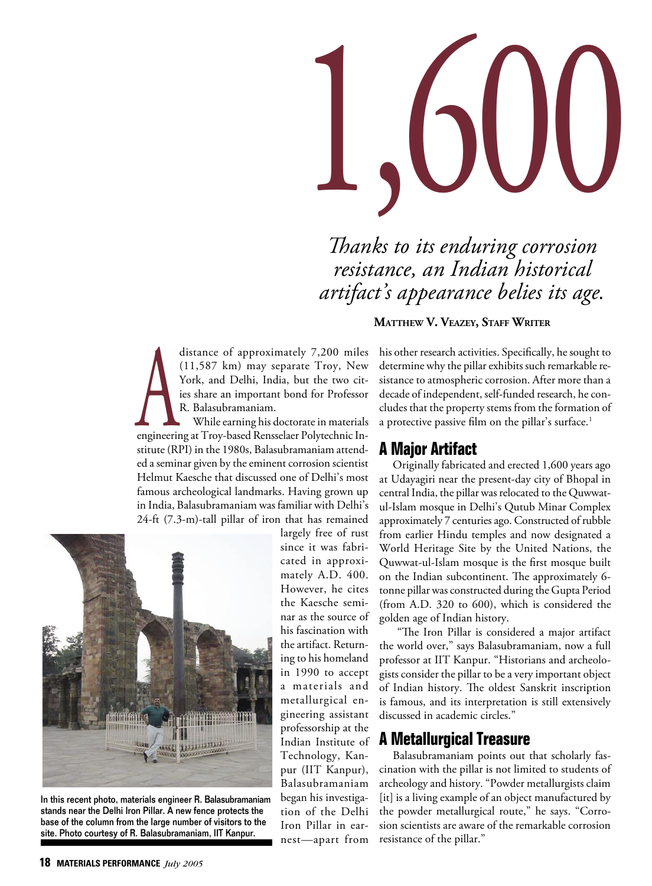

*Thanks to its enduring corrosion resistance, an Indian historical artifact's appearance belies its age.*

distance of approximately 7,200 miles<br>
(11,587 km) may separate Troy, New<br>
York, and Delhi, India, but the two cit-<br>
ies share an important bond for Professor<br>
R. Balasubramaniam.<br>
While earning his doctorate in materials<br> (11,587 km) may separate Troy, New York, and Delhi, India, but the two cities share an important bond for Professor R. Balasubramaniam.

While earning his doctorate in materials stitute (RPI) in the 1980s, Balasubramaniam attended a seminar given by the eminent corrosion scientist Helmut Kaesche that discussed one of Delhi's most famous archeological landmarks. Having grown up in India, Balasubramaniam was familiar with Delhi's 24-ft (7.3-m)-tall pillar of iron that has remained



In this recent photo, materials engineer R. Balasubramaniam stands near the Delhi Iron Pillar. A new fence protects the base of the column from the large number of visitors to the site. Photo courtesy of R. Balasubramaniam, IIT Kanpur.

largely free of rust since it was fabricated in approximately A.D. 400. However, he cites the Kaesche seminar as the source of his fascination with the artifact. Returning to his homeland in 1990 to accept a materials and metallurgical engineering assistant professorship at the Indian Institute of Technology, Kanpur (IIT Kanpur), Balasubramaniam began his investigation of the Delhi Iron Pillar in earnest—apart from

#### **MATTHEW V. VEAZEY, STAFF WRITER**

his other research activities. Specifically, he sought to determine why the pillar exhibits such remarkable resistance to atmospheric corrosion. After more than a decade of independent, self-funded research, he concludes that the property stems from the formation of a protective passive film on the pillar's surface.<sup>1</sup>

## **A Major Artifact**

Originally fabricated and erected 1,600 years ago at Udayagiri near the present-day city of Bhopal in central India, the pillar was relocated to the Quwwatul-Islam mosque in Delhi's Qutub Minar Complex approximately 7 centuries ago. Constructed of rubble from earlier Hindu temples and now designated a World Heritage Site by the United Nations, the Quwwat-ul-Islam mosque is the first mosque built on the Indian subcontinent. The approximately 6 tonne pillar was constructed during the Gupta Period (from A.D. 320 to 600), which is considered the golden age of Indian history.

 "The Iron Pillar is considered a major artifact the world over," says Balasubramaniam, now a full professor at IIT Kanpur. "Historians and archeologists consider the pillar to be a very important object of Indian history. The oldest Sanskrit inscription is famous, and its interpretation is still extensively discussed in academic circles."

## **A Metallurgical Treasure**

Balasubramaniam points out that scholarly fascination with the pillar is not limited to students of archeology and history. "Powder metallurgists claim [it] is a living example of an object manufactured by the powder metallurgical route," he says. "Corrosion scientists are aware of the remarkable corrosion resistance of the pillar."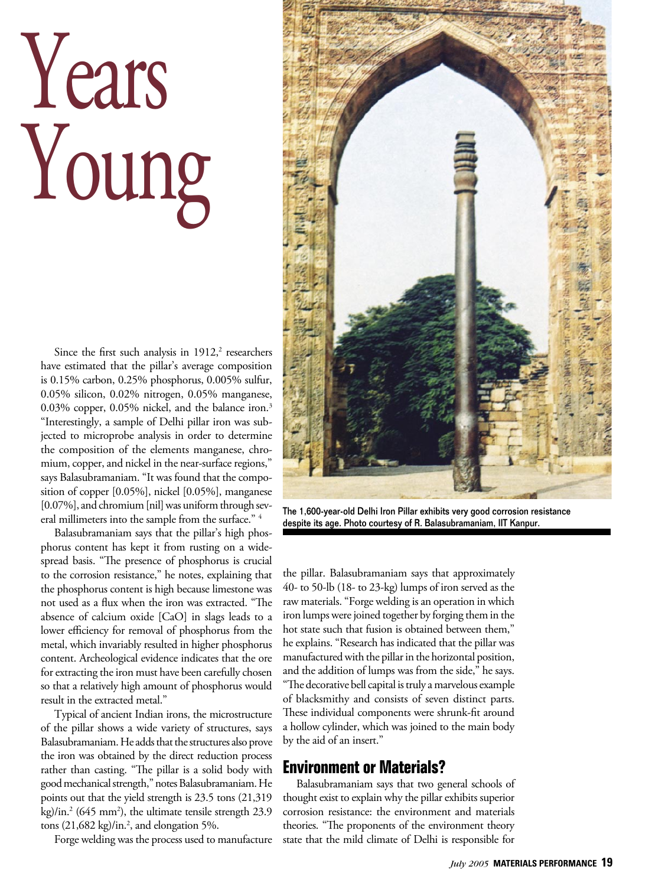# Years Young

Since the first such analysis in  $1912$ ,<sup>2</sup> researchers have estimated that the pillar's average composition is 0.15% carbon, 0.25% phosphorus, 0.005% sulfur, 0.05% silicon, 0.02% nitrogen, 0.05% manganese, 0.03% copper, 0.05% nickel, and the balance iron.3 "Interestingly, a sample of Delhi pillar iron was subjected to microprobe analysis in order to determine the composition of the elements manganese, chromium, copper, and nickel in the near-surface regions," says Balasubramaniam. "It was found that the composition of copper [0.05%], nickel [0.05%], manganese [0.07%], and chromium [nil] was uniform through several millimeters into the sample from the surface." 4

Balasubramaniam says that the pillar's high phosphorus content has kept it from rusting on a widespread basis. "The presence of phosphorus is crucial to the corrosion resistance," he notes, explaining that the phosphorus content is high because limestone was not used as a flux when the iron was extracted. "The absence of calcium oxide [CaO] in slags leads to a lower efficiency for removal of phosphorus from the metal, which invariably resulted in higher phosphorus content. Archeological evidence indicates that the ore for extracting the iron must have been carefully chosen so that a relatively high amount of phosphorus would result in the extracted metal."

Typical of ancient Indian irons, the microstructure of the pillar shows a wide variety of structures, says Balasubramaniam. He adds that the structures also prove the iron was obtained by the direct reduction process rather than casting. "The pillar is a solid body with good mechanical strength," notes Balasubramaniam. He points out that the yield strength is 23.5 tons (21,319 kg)/in.2 (645 mm2 ), the ultimate tensile strength 23.9 tons (21,682 kg)/in.<sup>2</sup>, and elongation 5%.

Forge welding was the process used to manufacture



The 1,600-year-old Delhi Iron Pillar exhibits very good corrosion resistance despite its age. Photo courtesy of R. Balasubramaniam, IIT Kanpur.

the pillar. Balasubramaniam says that approximately 40- to 50-lb (18- to 23-kg) lumps of iron served as the raw materials. "Forge welding is an operation in which iron lumps were joined together by forging them in the hot state such that fusion is obtained between them," he explains. "Research has indicated that the pillar was manufactured with the pillar in the horizontal position, and the addition of lumps was from the side," he says. "The decorative bell capital is truly a marvelous example

of blacksmithy and consists of seven distinct parts. These individual components were shrunk-fit around a hollow cylinder, which was joined to the main body by the aid of an insert."

# **Environment or Materials?**

Balasubramaniam says that two general schools of thought exist to explain why the pillar exhibits superior corrosion resistance: the environment and materials theories. "The proponents of the environment theory state that the mild climate of Delhi is responsible for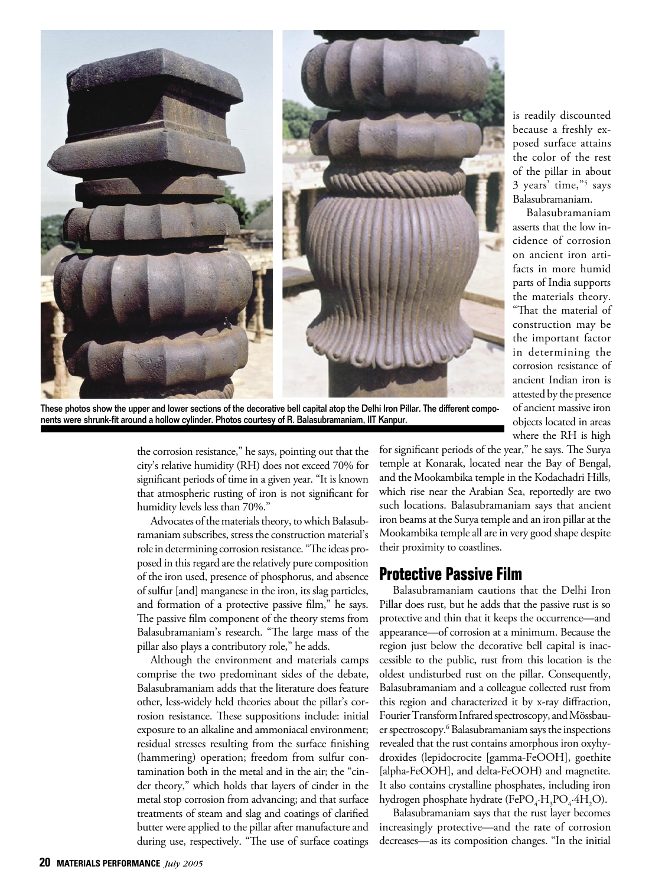

is readily discounted because a freshly exposed surface attains the color of the rest of the pillar in about 3 years' time,"5 says Balasubramaniam.

Balasubramaniam asserts that the low incidence of corrosion on ancient iron artifacts in more humid parts of India supports the materials theory. "That the material of construction may be the important factor in determining the corrosion resistance of ancient Indian iron is attested by the presence of ancient massive iron objects located in areas where the RH is high

These photos show the upper and lower sections of the decorative bell capital atop the Delhi Iron Pillar. The different components were shrunk-fit around a hollow cylinder. Photos courtesy of R. Balasubramaniam, IIT Kanpur.

the corrosion resistance," he says, pointing out that the city's relative humidity (RH) does not exceed 70% for significant periods of time in a given year. "It is known that atmospheric rusting of iron is not significant for humidity levels less than 70%."

Advocates of the materials theory, to which Balasubramaniam subscribes, stress the construction material's role in determining corrosion resistance. "The ideas proposed in this regard are the relatively pure composition of the iron used, presence of phosphorus, and absence of sulfur [and] manganese in the iron, its slag particles, and formation of a protective passive film," he says. The passive film component of the theory stems from Balasubramaniam's research. "The large mass of the pillar also plays a contributory role," he adds.

Although the environment and materials camps comprise the two predominant sides of the debate, Balasubramaniam adds that the literature does feature other, less-widely held theories about the pillar's corrosion resistance. These suppositions include: initial exposure to an alkaline and ammoniacal environment; residual stresses resulting from the surface finishing (hammering) operation; freedom from sulfur contamination both in the metal and in the air; the "cinder theory," which holds that layers of cinder in the metal stop corrosion from advancing; and that surface treatments of steam and slag and coatings of clarified butter were applied to the pillar after manufacture and during use, respectively. "The use of surface coatings

for significant periods of the year," he says. The Surya temple at Konarak, located near the Bay of Bengal, and the Mookambika temple in the Kodachadri Hills, which rise near the Arabian Sea, reportedly are two such locations. Balasubramaniam says that ancient iron beams at the Surya temple and an iron pillar at the Mookambika temple all are in very good shape despite their proximity to coastlines.

# **Protective Passive Film**

Balasubramaniam cautions that the Delhi Iron Pillar does rust, but he adds that the passive rust is so protective and thin that it keeps the occurrence—and appearance—of corrosion at a minimum. Because the region just below the decorative bell capital is inaccessible to the public, rust from this location is the oldest undisturbed rust on the pillar. Consequently, Balasubramaniam and a colleague collected rust from this region and characterized it by x-ray diffraction, Fourier Transform Infrared spectroscopy, and Mössbauer spectroscopy.6 Balasubramaniam says the inspections revealed that the rust contains amorphous iron oxyhydroxides (lepidocrocite [gamma-FeOOH], goethite [alpha-FeOOH], and delta-FeOOH) and magnetite. It also contains crystalline phosphates, including iron hydrogen phosphate hydrate (FePO<sub>4</sub>·H<sub>3</sub>PO<sub>4</sub>·4H<sub>2</sub>O).

Balasubramaniam says that the rust layer becomes increasingly protective—and the rate of corrosion decreases—as its composition changes. "In the initial